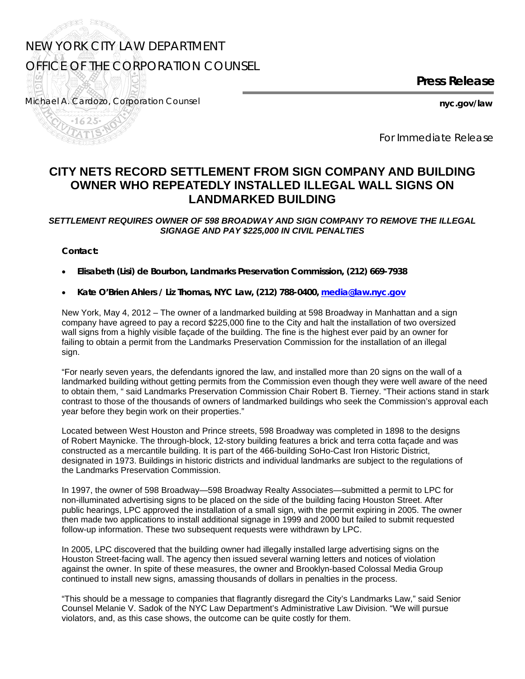## NEW YORK CITY LAW DEPARTMENT OFFICE OF THE CORPORATION COUNSEL

**Press Release** 

Michael A. Cardozo, *Corporation Counsel* **nyc.gov/law** 

F<sup>SS</sup>

and the second second second second the second second the second second the second second second second second in the second second second second second second second second second second second second second second second

*For Immediate Release* 

## **CITY NETS RECORD SETTLEMENT FROM SIGN COMPANY AND BUILDING OWNER WHO REPEATEDLY INSTALLED ILLEGAL WALL SIGNS ON LANDMARKED BUILDING**

## *SETTLEMENT REQUIRES OWNER OF 598 BROADWAY AND SIGN COMPANY TO REMOVE THE ILLEGAL SIGNAGE AND PAY \$225,000 IN CIVIL PENALTIES*

**Contact:** 

- **Elisabeth (Lisi) de Bourbon, Landmarks Preservation Commission, (212) 669-7938**
- **Kate O'Brien Ahlers / Liz Thomas, NYC Law, (212) 788-0400, [media@law.nyc.gov](mailto:media@law.nyc.gov)**

New York, May 4, 2012 – The owner of a landmarked building at 598 Broadway in Manhattan and a sign company have agreed to pay a record \$225,000 fine to the City and halt the installation of two oversized wall signs from a highly visible façade of the building. The fine is the highest ever paid by an owner for failing to obtain a permit from the Landmarks Preservation Commission for the installation of an illegal sign.

"For nearly seven years, the defendants ignored the law, and installed more than 20 signs on the wall of a landmarked building without getting permits from the Commission even though they were well aware of the need to obtain them, " said Landmarks Preservation Commission Chair Robert B. Tierney. "Their actions stand in stark contrast to those of the thousands of owners of landmarked buildings who seek the Commission's approval each year before they begin work on their properties."

Located between West Houston and Prince streets, 598 Broadway was completed in 1898 to the designs of Robert Maynicke. The through-block, 12-story building features a brick and terra cotta façade and was constructed as a mercantile building. It is part of the 466-building SoHo-Cast Iron Historic District, designated in 1973. Buildings in historic districts and individual landmarks are subject to the regulations of the Landmarks Preservation Commission.

In 1997, the owner of 598 Broadway—598 Broadway Realty Associates—submitted a permit to LPC for non-illuminated advertising signs to be placed on the side of the building facing Houston Street. After public hearings, LPC approved the installation of a small sign, with the permit expiring in 2005. The owner then made two applications to install additional signage in 1999 and 2000 but failed to submit requested follow-up information. These two subsequent requests were withdrawn by LPC.

In 2005, LPC discovered that the building owner had illegally installed large advertising signs on the Houston Street-facing wall. The agency then issued several warning letters and notices of violation against the owner. In spite of these measures, the owner and Brooklyn-based Colossal Media Group continued to install new signs, amassing thousands of dollars in penalties in the process.

"This should be a message to companies that flagrantly disregard the City's Landmarks Law," said Senior Counsel Melanie V. Sadok of the NYC Law Department's Administrative Law Division. "We will pursue violators, and, as this case shows, the outcome can be quite costly for them.